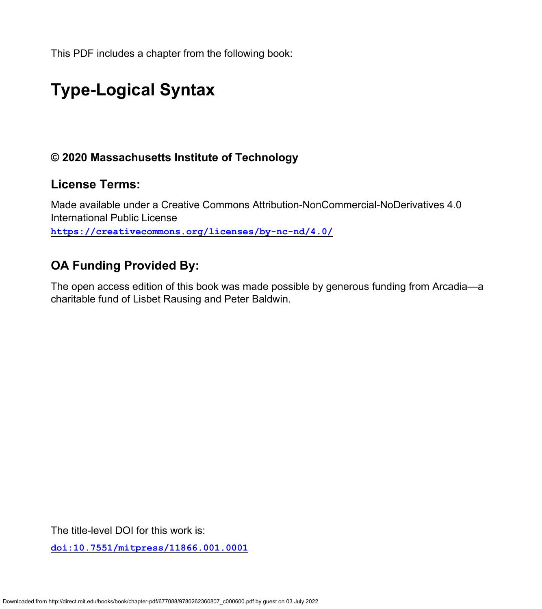This PDF includes a chapter from the following book:

# **Type-Logical Syntax**

### **© 2020 Massachusetts Institute of Technology**

### **License Terms:**

Made available under a Creative Commons Attribution-NonCommercial-NoDerivatives 4.0 International Public License **<https://creativecommons.org/licenses/by-nc-nd/4.0/>**

### **OA Funding Provided By:**

The open access edition of this book was made possible by generous funding from Arcadia—a charitable fund of Lisbet Rausing and Peter Baldwin.

The title-level DOI for this work is:

**[doi:10.7551/mitpress/11866.001.0001](https://doi.org/10.7551/mitpress/11866.001.0001)**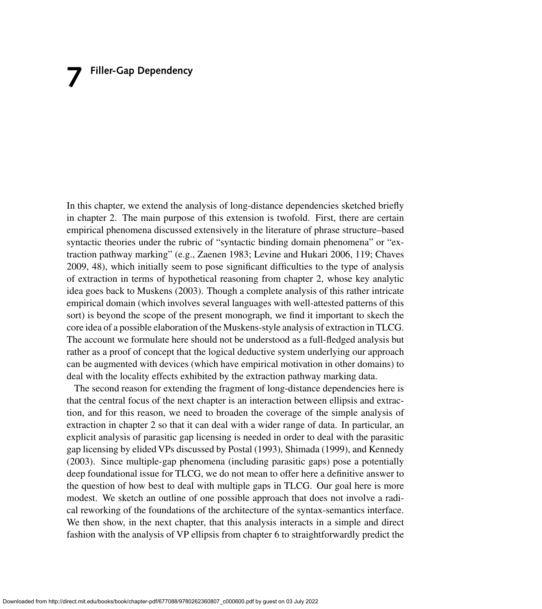## **7 Filler-Gap Dependency**

In this chapter, we extend the analysis of long-distance dependencies sketched briefly in chapter 2. The main purpose of this extension is twofold. First, there are certain empirical phenomena discussed extensively in the literature of phrase structure–based syntactic theories under the rubric of "syntactic binding domain phenomena" or "extraction pathway marking" (e.g., Zaenen 1983; Levine and Hukari 2006, 119; Chaves 2009, 48), which initially seem to pose significant difficulties to the type of analysis of extraction in terms of hypothetical reasoning from chapter 2, whose key analytic idea goes back to Muskens (2003). Though a complete analysis of this rather intricate empirical domain (which involves several languages with well-attested patterns of this sort) is beyond the scope of the present monograph, we find it important to skech the core idea of a possible elaboration of the Muskens-style analysis of extraction in TLCG. The account we formulate here should not be understood as a full-fledged analysis but rather as a proof of concept that the logical deductive system underlying our approach can be augmented with devices (which have empirical motivation in other domains) to deal with the locality effects exhibited by the extraction pathway marking data.

The second reason for extending the fragment of long-distance dependencies here is that the central focus of the next chapter is an interaction between ellipsis and extraction, and for this reason, we need to broaden the coverage of the simple analysis of extraction in chapter 2 so that it can deal with a wider range of data. In particular, an explicit analysis of parasitic gap licensing is needed in order to deal with the parasitic gap licensing by elided VPs discussed by Postal (1993), Shimada (1999), and Kennedy (2003). Since multiple-gap phenomena (including parasitic gaps) pose a potentially deep foundational issue for TLCG, we do not mean to offer here a definitive answer to the question of how best to deal with multiple gaps in TLCG. Our goal here is more modest. We sketch an outline of one possible approach that does not involve a radical reworking of the foundations of the architecture of the syntax-semantics interface. We then show, in the next chapter, that this analysis interacts in a simple and direct fashion with the analysis of VP ellipsis from chapter 6 to straightforwardly predict the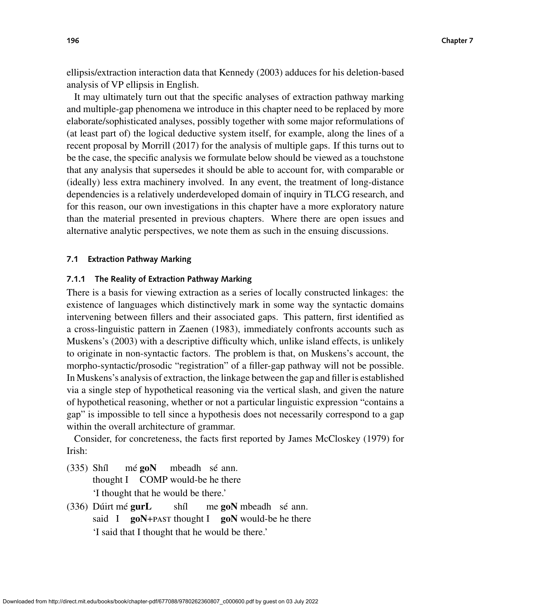ellipsis/extraction interaction data that Kennedy (2003) adduces for his deletion-based analysis of VP ellipsis in English.

It may ultimately turn out that the specific analyses of extraction pathway marking and multiple-gap phenomena we introduce in this chapter need to be replaced by more elaborate/sophisticated analyses, possibly together with some major reformulations of (at least part of) the logical deductive system itself, for example, along the lines of a recent proposal by Morrill (2017) for the analysis of multiple gaps. If this turns out to be the case, the specific analysis we formulate below should be viewed as a touchstone that any analysis that supersedes it should be able to account for, with comparable or (ideally) less extra machinery involved. In any event, the treatment of long-distance dependencies is a relatively underdeveloped domain of inquiry in TLCG research, and for this reason, our own investigations in this chapter have a more exploratory nature than the material presented in previous chapters. Where there are open issues and alternative analytic perspectives, we note them as such in the ensuing discussions.

#### **7.1 Extraction Pathway Marking**

#### **7.1.1 The Reality of Extraction Pathway Marking**

There is a basis for viewing extraction as a series of locally constructed linkages: the existence of languages which distinctively mark in some way the syntactic domains intervening between fillers and their associated gaps. This pattern, first identified as a cross-linguistic pattern in Zaenen (1983), immediately confronts accounts such as Muskens's (2003) with a descriptive difficulty which, unlike island effects, is unlikely to originate in non-syntactic factors. The problem is that, on Muskens's account, the morpho-syntactic/prosodic "registration" of a filler-gap pathway will not be possible. In Muskens's analysis of extraction, the linkage between the gap and filler is established via a single step of hypothetical reasoning via the vertical slash, and given the nature of hypothetical reasoning, whether or not a particular linguistic expression "contains a gap" is impossible to tell since a hypothesis does not necessarily correspond to a gap within the overall architecture of grammar.

Consider, for concreteness, the facts first reported by James McCloskey (1979) for Irish:

- (335) Shíl thought I COMP would-be he there mé **goN** mbeadh sé ann. 'I thought that he would be there.'
- (336) Dúirt mé **gurL** said I **goN**+PAST thought I **goN** would-be he there shíl me **goN** mbeadh sé ann. 'I said that I thought that he would be there.'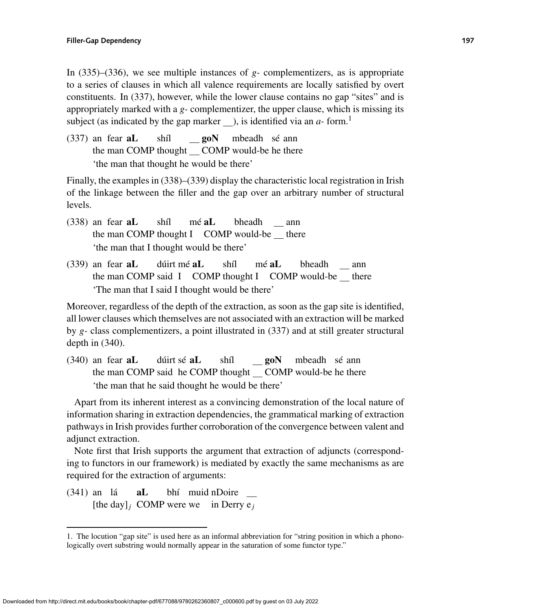In  $(335)$ – $(336)$ , we see multiple instances of  $g$ - complementizers, as is appropriate to a series of clauses in which all valence requirements are locally satisfied by overt constituents. In (337), however, while the lower clause contains no gap "sites" and is appropriately marked with a *g-* complementizer, the upper clause, which is missing its subject (as indicated by the gap marker ), is identified via an  $a$ - form.<sup>1</sup>

(337) an fear **aL** the man COMP thought COMP would-be he there shíl **goN** mbeadh sé ann 'the man that thought he would be there'

Finally, the examples in (338)–(339) display the characteristic local registration in Irish of the linkage between the filler and the gap over an arbitrary number of structural levels.

- (338) an fear **aL** the man COMP thought I COMP would-be \_\_ there shíl mé **aL** bheadh ann 'the man that I thought would be there'
- (339) an fear **aL** the man COMP said I COMP thought I COMP would-be \_\_ there dúirt mé **aL** shíl mé **aL** bheadh ann 'The man that I said I thought would be there'

Moreover, regardless of the depth of the extraction, as soon as the gap site is identified, all lower clauses which themselves are not associated with an extraction will be marked by *g-* class complementizers, a point illustrated in (337) and at still greater structural depth in (340).

(340) an fear **aL** the man COMP said he COMP thought \_\_ COMP would-be he there dúirt sé **aL** shíl **goN** mbeadh sé ann 'the man that he said thought he would be there'

Apart from its inherent interest as a convincing demonstration of the local nature of information sharing in extraction dependencies, the grammatical marking of extraction pathways in Irish provides further corroboration of the convergence between valent and adjunct extraction.

Note first that Irish supports the argument that extraction of adjuncts (corresponding to functors in our framework) is mediated by exactly the same mechanisms as are required for the extraction of arguments:

(341) an lá [the day]<sub>*j*</sub> COMP were we in Derry  $e_j$ **aL** bhí muid nDoire

<sup>1.</sup> The locution "gap site" is used here as an informal abbreviation for "string position in which a phonologically overt substring would normally appear in the saturation of some functor type."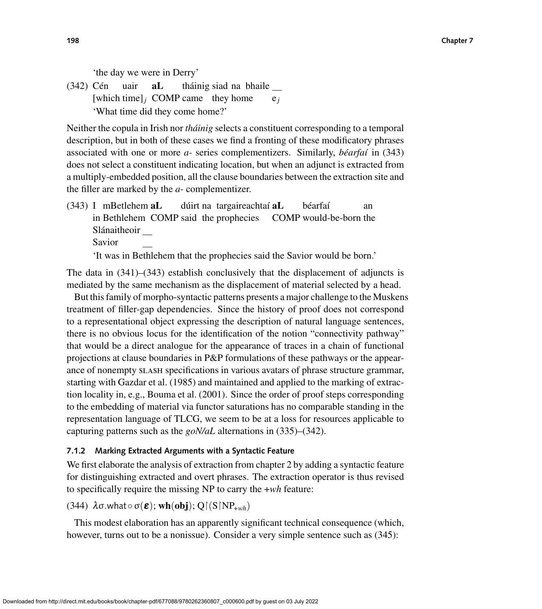'the day we were in Derry'

(342) Cén [which time]<sub>*j*</sub> COMP came they home  $e_j$ uair **aL** tháinig siad na bhaile 'What time did they come home?'

Neither the copula in Irish nor *tháinig* selects a constituent corresponding to a temporal description, but in both of these cases we find a fronting of these modificatory phrases associated with one or more *a-* series complementizers. Similarly, *béarfaí* in (343) does not select a constituent indicating location, but when an adjunct is extracted from a multiply-embedded position, all the clause boundaries between the extraction site and the filler are marked by the *a-* complementizer.

(343) I mBetlehem **aL** in Bethlehem COMP said the prophecies dúirt na targaireachtaí **aL** COMP would-be-born the béarfaí an Slánaitheoir Savior

'It was in Bethlehem that the prophecies said the Savior would be born.'

The data in (341)–(343) establish conclusively that the displacement of adjuncts is mediated by the same mechanism as the displacement of material selected by a head.

But this family of morpho-syntactic patterns presents a major challenge to the Muskens treatment of filler-gap dependencies. Since the history of proof does not correspond to a representational object expressing the description of natural language sentences, there is no obvious locus for the identification of the notion "connectivity pathway" that would be a direct analogue for the appearance of traces in a chain of functional projections at clause boundaries in P&P formulations of these pathways or the appearance of nonempty slash specifications in various avatars of phrase structure grammar, starting with Gazdar et al. (1985) and maintained and applied to the marking of extraction locality in, e.g., Bouma et al. (2001). Since the order of proof steps corresponding to the embedding of material via functor saturations has no comparable standing in the representation language of TLCG, we seem to be at a loss for resources applicable to capturing patterns such as the *goN/aL* alternations in (335)–(342).

#### **7.1.2 Marking Extracted Arguments with a Syntactic Feature**

We first elaborate the analysis of extraction from chapter 2 by adding a syntactic feature for distinguishing extracted and overt phrases. The extraction operator is thus revised to specifically require the missing NP to carry the +*wh* feature:

(344)  $\lambda \sigma$ .what  $\circ \sigma(\boldsymbol{\varepsilon})$ ; **wh**(**obj**); Q[(S[NP<sub>+wh</sub>)

This modest elaboration has an apparently significant technical consequence (which, however, turns out to be a nonissue). Consider a very simple sentence such as (345):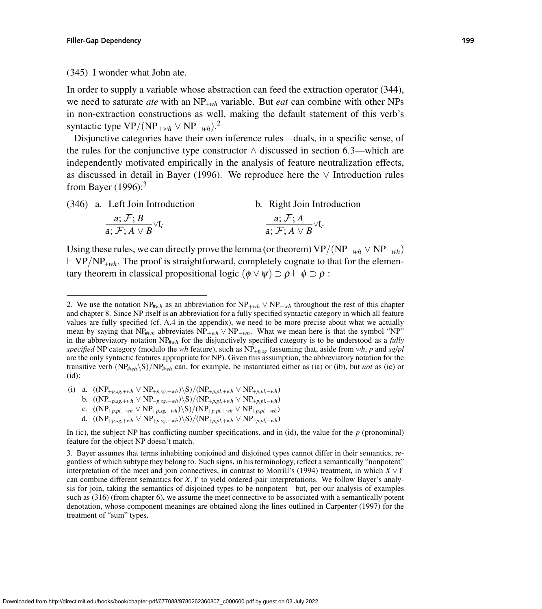(345) I wonder what John ate.

In order to supply a variable whose abstraction can feed the extraction operator (344), we need to saturate *ate* with an NP*+wh* variable. But *eat* can combine with other NPs in non-extraction constructions as well, making the default statement of this verb's syntactic type VP/(NP+*wh* ∨ NP−*wh*). 2

Disjunctive categories have their own inference rules—duals, in a specific sense, of the rules for the conjunctive type constructor  $\land$  discussed in section 6.3—which are independently motivated empirically in the analysis of feature neutralization effects, as discussed in detail in Bayer (1996). We reproduce here the ∨ Introduction rules from Bayer  $(1996)$ :<sup>3</sup>

| $(346)$ a. Left Join Introduction                             | b. Right Join Introduction                                    |
|---------------------------------------------------------------|---------------------------------------------------------------|
| $\frac{a; \mathcal{F}; B}{a; \mathcal{F}; A \vee B} \vee I_l$ | $\frac{a; \mathcal{F}; A}{a; \mathcal{F}; A \vee B} \vee I_r$ |

Using these rules, we can directly prove the lemma (or theorem)  $VP/(NP_{+wh} \vee NP_{-wh})$  $\vdash$  VP/NP<sub>+wh</sub>. The proof is straightforward, completely cognate to that for the elementary theorem in classical propositional logic  $(\phi \lor \psi) \supset \rho \vdash \phi \supset \rho$ :

(i) a. 
$$
((NP_{+p,sg,+wh} \vee NP_{+p,sg,-wh})\S)/(NP_{+p,p,l+wh} \vee NP_{+p,p,l-wh})
$$

b. 
$$
((NP_{-p,sg,\text{-}wh} \vee NP_{-p,sg,\text{-}wh})\backslash S)/(NP_{+p,pl,\text{-}wh} \vee NP_{+p,pl,\text{-}wh})
$$

- c. ((NP+*p,pl,*+*wh* ∨ NP+*p,sg,*−*wh*)\S)/(NP+*p,pl,*+*wh* ∨ NP+*p,pl,*−*wh*)
- d. ((NP+*p,sg,*+*wh* ∨ NP+*p,sg,*−*wh*)\S)/(NP+*p,pl,*+*wh* ∨ NP−*p,pl,*−*wh*)

In (ic), the subject NP has conflicting number specifications, and in (id), the value for the  $p$  (pronominal) feature for the object NP doesn't match.

<sup>2.</sup> We use the notation  $NP_{#wh}$  as an abbreviation for  $NP_{+wh} \vee NP_{-wh}$  throughout the rest of this chapter and chapter 8. Since NP itself is an abbreviation for a fully specified syntactic category in which all feature values are fully specified (cf. A.4 in the appendix), we need to be more precise about what we actually mean by saying that NP<sub>#*wh*</sub> abbreviates NP<sub>+*wh*</sub>  $\vee$  NP<sub>−*wh*</sub>. What we mean here is that the symbol "NP" in the abbreviatory notation NP#*wh* for the disjunctively specified category is to be understood as a *fully specified* NP category (modulo the *wh* feature), such as NP+*p,sg* (assuming that, aside from *wh*, *p* and *sg*/*pl* are the only syntactic features appropriate for NP). Given this assumption, the abbreviatory notation for the transitive verb  $(NP_{\#wh} \ S)/NP_{\#wh}$  can, for example, be instantiated either as (ia) or (ib), but *not* as (ic) or (id):

<sup>3.</sup> Bayer assumes that terms inhabiting conjoined and disjoined types cannot differ in their semantics, regardless of which subtype they belong to. Such signs, in his terminology, reflect a semantically "nonpotent" interpretation of the meet and join connectives, in contrast to Morrill's (1994) treatment, in which  $X \vee Y$ can combine different semantics for *X*,*Y* to yield ordered-pair interpretations. We follow Bayer's analysis for join, taking the semantics of disjoined types to be nonpotent—but, per our analysis of examples such as (316) (from chapter 6), we assume the meet connective to be associated with a semantically potent denotation, whose component meanings are obtained along the lines outlined in Carpenter (1997) for the treatment of "sum" types.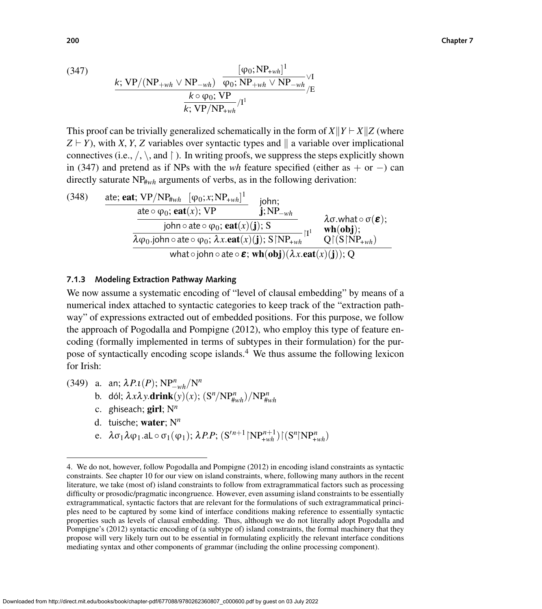(347)  
\n
$$
\frac{[\varphi_0; NP_{+wh}]^1}{k; VP/(NP_{+wh} \vee NP_{-wh})} \frac{[\varphi_0; NP_{+wh}]^1}{\varphi_0; NP_{+wh} \vee NP_{-wh}} / E}
$$
\n
$$
\frac{k \circ \varphi_0; VP}{k; VP/NP_{+wh}} / I^1
$$

This proof can be trivially generalized schematically in the form of  $X||Y \vdash X||Z$  (where  $Z \vdash Y$ ), with *X*, *Y*, *Z* variables over syntactic types and  $\parallel$  a variable over implicational connectives (i.e.,  $/\sqrt{ }$  and  $\upharpoonright$ ). In writing proofs, we suppress the steps explicitly shown in (347) and pretend as if NPs with the *wh* feature specified (either as + or −) can directly saturate NP#*wh* arguments of verbs, as in the following derivation:

(348) 
$$
\frac{\text{ate; eat; VP/NP}_{\text{fwh}} \left[ \varphi_0; x; NP_{+wh} \right]^1}{\text{aite} \circ \varphi_0; \text{eat}(x); VP} \quad \text{john;}
$$
\n
$$
\frac{\text{ate} \circ \varphi_0; \text{eat}(x); VP}{\text{j; NP}_{-wh}} \quad \text{for.} \quad \text{Ato } \sigma(\mathbf{\varepsilon});
$$
\n
$$
\frac{\overline{\lambda \varphi_0.\text{john} \circ \text{ate} \circ \varphi_0; \lambda x.\text{eat}(x)(\mathbf{j}); S}}{\lambda \varphi_0.\text{john} \circ \text{ate} \circ \varphi_0; \lambda x.\text{eat}(x)(\mathbf{j}); S \text{NP}_{+wh} \quad Q \text{[}(S \text{NP}_{+wh})}
$$
\n
$$
\text{what} \circ \text{john} \circ \text{ate} \circ \mathbf{\varepsilon}; \text{wh(obj)}(\lambda x.\text{eat}(x)(\mathbf{j})); Q
$$

#### **7.1.3 Modeling Extraction Pathway Marking**

We now assume a systematic encoding of "level of clausal embedding" by means of a numerical index attached to syntactic categories to keep track of the "extraction pathway" of expressions extracted out of embedded positions. For this purpose, we follow the approach of Pogodalla and Pompigne (2012), who employ this type of feature encoding (formally implemented in terms of subtypes in their formulation) for the purpose of syntactically encoding scope islands.<sup>4</sup> We thus assume the following lexicon for Irish:

(349) a. an;  $\lambda P \cdot i(P)$ ;  $NP_{-wh}^n/N^n$ 

b. 
$$
d\delta
$$
l;  $\lambda x \lambda y$ .**drink**(y)(x);  $(S^n/NP_{\#wh}^n)/NP_{\#wh}^n$ 

- c. ghiseach; **girl**; N *n*
- d. tuische; **water**; N *n*
- e.  $\lambda \sigma_1 \lambda \varphi_1$ .aL  $\circ \sigma_1(\varphi_1)$ ;  $\lambda P.P$ ;  $(S'^{n+1} \lfloor NP^{n+1}_{+wh} \rfloor)$  $(S^n \lfloor NP^n_{+wh} \rfloor)$

<sup>4.</sup> We do not, however, follow Pogodalla and Pompigne (2012) in encoding island constraints as syntactic constraints. See chapter 10 for our view on island constraints, where, following many authors in the recent literature, we take (most of) island constraints to follow from extragrammatical factors such as processing difficulty or prosodic/pragmatic incongruence. However, even assuming island constraints to be essentially extragrammatical, syntactic factors that are relevant for the formulations of such extragrammatical principles need to be captured by some kind of interface conditions making reference to essentially syntactic properties such as levels of clausal embedding. Thus, although we do not literally adopt Pogodalla and Pompigne's (2012) syntactic encoding of (a subtype of) island constraints, the formal machinery that they propose will very likely turn out to be essential in formulating explicitly the relevant interface conditions mediating syntax and other components of grammar (including the online processing component).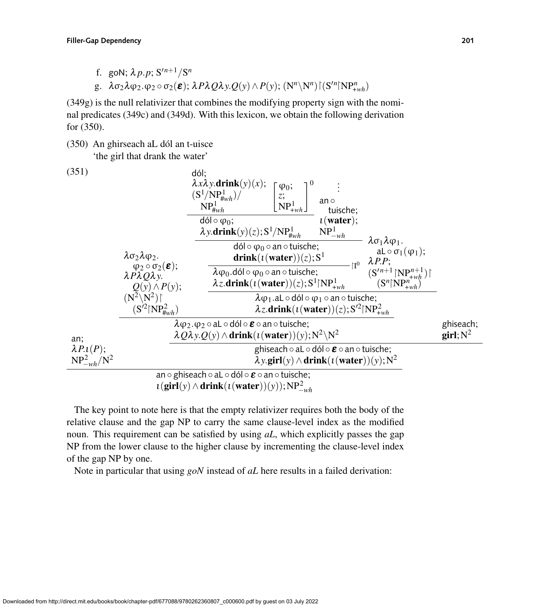f. goN;  $\lambda p.p$ ;  $S'^{n+1}/S^n$  $g$ .  $\lambda \sigma_2 \lambda \varphi_2 \cdot \varphi_2 \circ \sigma_2(\boldsymbol{\varepsilon})$ ;  $\lambda P \lambda Q \lambda y \cdot Q(y) \wedge P(y)$ ;  $(N^n \setminus N^n) \cap (S'^n \cap NP^n_{+wh})$ 

(349g) is the null relativizer that combines the modifying property sign with the nominal predicates (349c) and (349d). With this lexicon, we obtain the following derivation for (350).

(350) An ghirseach aL dól an t-uisce

'the girl that drank the water'



The key point to note here is that the empty relativizer requires both the body of the relative clause and the gap NP to carry the same clause-level index as the modified noun. This requirement can be satisfied by using *aL*, which explicitly passes the gap NP from the lower clause to the higher clause by incrementing the clause-level index of the gap NP by one.

Note in particular that using *goN* instead of *aL* here results in a failed derivation: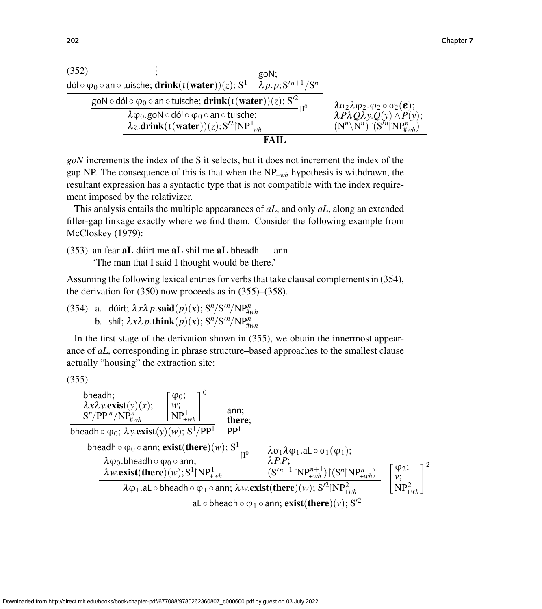(352) :  
\n
$$
\frac{600}{\phi_0 \circ an \circ \text{tuische}}; \frac{\text{drink}(t(\text{water}))(z); S^1 \quad \lambda p.p; S'^{n+1}/S^n}{\lambda p.p; S'^{n+1}/S^n}
$$
\n
$$
\frac{600}{\phi_0 \circ a \circ b \circ b \circ \phi_0 \circ an \circ \text{tuische}}; \frac{\text{drink}(t(\text{water}))(z); S'^2}{\lambda p.p; S'^{n+1}/S^n}
$$
\n
$$
\frac{\lambda \sigma_2 \lambda \phi_2. \phi_2 \circ \sigma_2(\boldsymbol{\epsilon});}{\lambda P \lambda Q \lambda y. Q(y) \wedge P(y);}
$$
\n
$$
\frac{\lambda z. \text{drink}(t(\text{water}))(z); S'^2|NP_{+wh}^1}{\text{FALL}}
$$

*goN* increments the index of the S it selects, but it does not increment the index of the gap NP. The consequence of this is that when the NP*+wh* hypothesis is withdrawn, the resultant expression has a syntactic type that is not compatible with the index requirement imposed by the relativizer.

This analysis entails the multiple appearances of *aL*, and only *aL*, along an extended filler-gap linkage exactly where we find them. Consider the following example from McCloskey (1979):

 $(353)$  an fear **aL** dúirt me **aL** shil me **aL** bheadh \_\_ ann 'The man that I said I thought would be there.'

Assuming the following lexical entries for verbs that take clausal complements in (354), the derivation for (350) now proceeds as in (355)–(358).

(354) a. dúirt;  $\lambda x \lambda p$ .said $(p)(x)$ ; S<sup>*n*</sup>/S<sup>*'n*</sup>/NP<sub>#*wh*</sub> b. shíl;  $\lambda x \lambda p$ .think $(p)(x)$ ;  $S^n/S'^n/NP^n_{\#wh}$ 

In the first stage of the derivation shown in (355), we obtain the innermost appearance of *aL*, corresponding in phrase structure–based approaches to the smallest clause actually "housing" the extraction site:

(355)

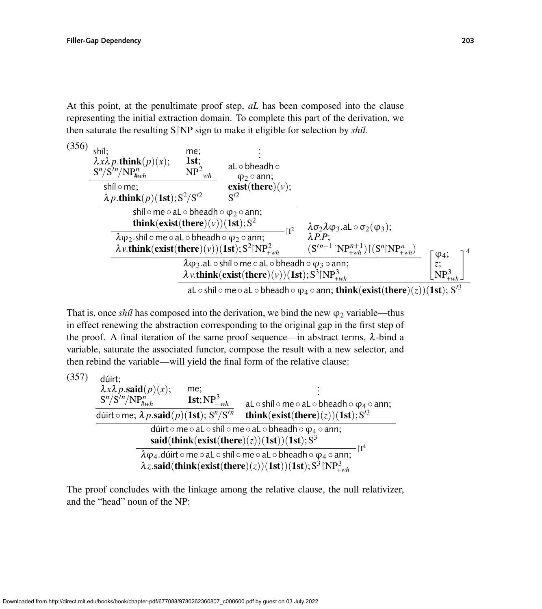At this point, at the penultimate proof step, *aL* has been composed into the clause representing the initial extraction domain. To complete this part of the derivation, we then saturate the resulting SNP sign to make it eligible for selection by *shíl*.

 $(356)$ 

| )O)                                                                                                                                                      | shíl;<br>me:<br>$\lambda x \lambda p$ .think $(p)(x)$ ;<br>1st;<br>$NP_{-wh}^2$<br>$S^n/S'^n/NP_{\#wh}^n$<br>shíl $\circ$ me;<br>$\lambda p$ .think $(p)(1st); S^2/S^2$              |  | aL o bheadh o<br>$\varphi_2 \circ$ ann;<br>exist(there)(v);<br>$S^{\prime 2}$                                                                                                                                 |                                                                        |                      |
|----------------------------------------------------------------------------------------------------------------------------------------------------------|--------------------------------------------------------------------------------------------------------------------------------------------------------------------------------------|--|---------------------------------------------------------------------------------------------------------------------------------------------------------------------------------------------------------------|------------------------------------------------------------------------|----------------------|
|                                                                                                                                                          | shíl $\circ$ me $\circ$ aL $\circ$ bheadh $\circ \varphi_2 \circ$ ann;<br>think(exist(there)(v))(1st); $S^2$                                                                         |  |                                                                                                                                                                                                               | $\lambda \sigma_2 \lambda \varphi_3$ .aL $\circ \sigma_2(\varphi_3)$ ; |                      |
| $\lambda \varphi_2$ shíl $\circ$ me $\circ$ aL $\circ$ bheadh $\circ \varphi_2 \circ$ ann;<br>$\lambda v$ .think(exist(there)(v))(1st); $S^2 NP_{+wh}^2$ |                                                                                                                                                                                      |  | $\lambda P.P;$<br>$(\mathbf{S}'^{n+1}\!\!\upharpoonright\!\!\mathbf{NP}^{n+1}_{\scriptscriptstyle+\!wh})\!\!\upharpoonright\!\! (\mathbf{S}^n\!\!\upharpoonright\!\!\mathbf{NP}^n_{\scriptscriptstyle+\!wh})$ | $\varphi_4$ ;                                                          |                      |
|                                                                                                                                                          | $\lambda \varphi_3$ aL $\circ$ shíl $\circ$ me $\circ$ aL $\circ$ bheadh $\circ \varphi_3 \circ$ ann;<br>$\lambda v$ .think(exist(there)(v))(1st); S <sup>3</sup>  NP <sub>+wh</sub> |  |                                                                                                                                                                                                               |                                                                        | z:<br>$NP^3$         |
|                                                                                                                                                          |                                                                                                                                                                                      |  |                                                                                                                                                                                                               | $\bullet$ . $\prime$ . $\bullet$<br>$\cdots$                           | $\sqrt{2 \times 24}$ |

 $\mathsf{aL} \circ \mathsf{sh} \mathsf{il} \circ \mathsf{me} \circ \mathsf{aL} \circ \mathsf{bhead} \mathsf{h} \circ \phi_4 \circ \mathsf{ann};\, \mathbf{think}(\mathbf{exist}(\mathbf{there})(z))(\mathbf{1st});\, \mathbf{S}'^3$ 

That is, once *shil* has composed into the derivation, we bind the new  $\varphi_2$  variable—thus in effect renewing the abstraction corresponding to the original gap in the first step of the proof. A final iteration of the same proof sequence—in abstract terms,  $\lambda$ -bind a variable, saturate the associated functor, compose the result with a new selector, and then rebind the variable—will yield the final form of the relative clause:

(357) dúirt;

| uulit.<br>$\lambda x \lambda p$ said $(p)(x)$ ;<br>me:<br>1st; $NP_{-wh}^3$<br>$S^n/S'^n/NP^n_{\#wh}$                                                                                                                                         |  | aL $\circ$ shíl $\circ$ me $\circ$ aL $\circ$ bheadh $\circ \varphi_4 \circ$ ann; |  |  |
|-----------------------------------------------------------------------------------------------------------------------------------------------------------------------------------------------------------------------------------------------|--|-----------------------------------------------------------------------------------|--|--|
| dúirt o me; $\lambda p$ said $(p)(1st)$ ; S <sup>n</sup> /S <sup>'n</sup>                                                                                                                                                                     |  | think(exist(there)(z))(1st); $S^3$                                                |  |  |
| dúirt o me o aL o shíl o me o aL o bheadh o $\varphi_4$ o ann;                                                                                                                                                                                |  |                                                                                   |  |  |
| said(think(exist(there)(z))(1st))(1st); $S^3$                                                                                                                                                                                                 |  |                                                                                   |  |  |
| ìT <sup>4</sup><br>$\lambda \varphi_4$ . dúirt $\circ$ me $\circ$ aL $\circ$ shíl $\circ$ me $\circ$ aL $\circ$ bheadh $\circ \varphi_4 \circ$ ann;<br>$\lambda z$ .said(think(exist(there)(z))(1st))(1st); S <sup>3</sup>  NP <sub>+wh</sub> |  |                                                                                   |  |  |

The proof concludes with the linkage among the relative clause, the null relativizer, and the "head" noun of the NP: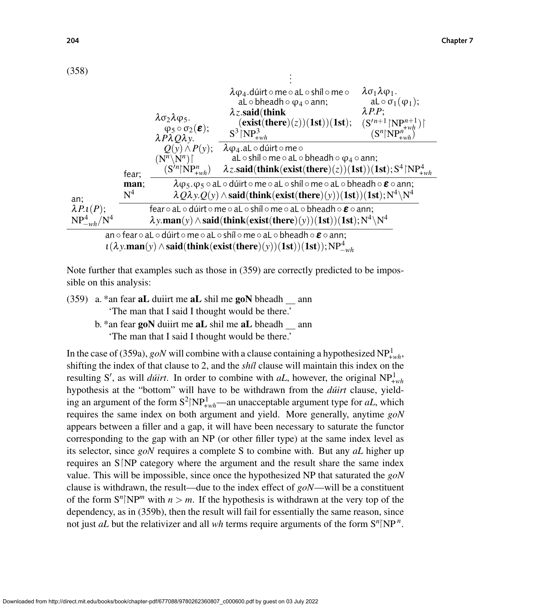| (358)                                                                                                                                                                                                                                                                                                        |                                                                                                                                                                                                                                                      |                                                                                                                             |                                                                                                                                                                                                                                                                                                                                    |                                                                                                                                                                    |  |
|--------------------------------------------------------------------------------------------------------------------------------------------------------------------------------------------------------------------------------------------------------------------------------------------------------------|------------------------------------------------------------------------------------------------------------------------------------------------------------------------------------------------------------------------------------------------------|-----------------------------------------------------------------------------------------------------------------------------|------------------------------------------------------------------------------------------------------------------------------------------------------------------------------------------------------------------------------------------------------------------------------------------------------------------------------------|--------------------------------------------------------------------------------------------------------------------------------------------------------------------|--|
|                                                                                                                                                                                                                                                                                                              |                                                                                                                                                                                                                                                      | $\lambda \sigma_2 \lambda \varphi_5$ .<br>$\varphi_5 \circ \sigma_2(\boldsymbol{\varepsilon});$<br>$\lambda PAQ\lambda y$ . | $\lambda \varphi_4$ . dúirt $\circ$ me $\circ$ aL $\circ$ shíl $\circ$ me $\circ$<br>aL $\circ$ bheadh $\circ \varphi_4 \circ$ ann;<br>$\lambda z$ said (think<br>$(\textbf{exist}(\textbf{there})(z))(1\textbf{st}))(1\textbf{st});$<br>$S^3$ [NP <sup>3</sup> .                                                                  | $\lambda \sigma_1 \lambda \varphi_1$ .<br>aL $\circ$ $\sigma_1(\varphi_1)$ ;<br>$\lambda P.P$<br>$(S'^{n+1}\vert \text{NP}^{n+1}_{\scriptscriptstyle{+wh}}\rceil)$ |  |
|                                                                                                                                                                                                                                                                                                              | fear;                                                                                                                                                                                                                                                | $Q(y) \wedge P(y);$<br>$(N^n\backslash N^n)$<br>$(S^{\prime n} \text{NP}_{+wh}^n)$                                          | $\lambda \varphi_4$ .aL $\circ$ dúirt $\circ$ me $\circ$<br>aL $\circ$ shíl $\circ$ me $\circ$ aL $\circ$ bheadh $\circ \varphi_4 \circ$ ann;<br>$\lambda z$ .said(think(exist(there)(z))(1st))(1st); S <sup>4</sup>  NP <sub>+wh</sub>                                                                                            |                                                                                                                                                                    |  |
| an;                                                                                                                                                                                                                                                                                                          | man;<br>N <sup>4</sup>                                                                                                                                                                                                                               |                                                                                                                             | $\lambda \varphi_5.\varphi_5 \circ \text{al} \circ \text{d} \varphi$ or $\text{al} \circ \text{al} \circ \text{sh} \varphi$ or $\text{al} \circ \text{al} \circ \text{b}$ headh $\circ \varepsilon \circ \text{ann}$ ;<br>$\lambda Q\lambda y. Q(y) \wedge$ said(think(exist(there)(y))(1st))(1st); N <sup>4</sup> \N <sup>4</sup> |                                                                                                                                                                    |  |
| $\lambda P \cdot \iota(P);$<br>$NP_{-wh}^4/N^4$                                                                                                                                                                                                                                                              | fear $\circ$ aL $\circ$ dúirt $\circ$ me $\circ$ aL $\circ$ shíl $\circ$ me $\circ$ aL $\circ$ bheadh $\circ$ $\bm{\mathcal{E}}$ $\circ$ ann;<br>$\lambda y.$ man(y) $\wedge$ said(think(exist(there)(y))(1st))(1st); N <sup>4</sup> \N <sup>4</sup> |                                                                                                                             |                                                                                                                                                                                                                                                                                                                                    |                                                                                                                                                                    |  |
| an $\circ$ fear $\circ$ aL $\circ$ dúirt $\circ$ me $\circ$ aL $\circ$ shíl $\circ$ me $\circ$ aL $\circ$ bheadh $\circ$ $\epsilon$ $\circ$ ann;<br>$\iota(\lambda y.\textbf{man}(y) \wedge \textbf{said}(\textbf{think}(\textbf{exist}(\textbf{there})(y))(\textbf{1st}))(\textbf{1st}));\text{NP}_{-wh}^4$ |                                                                                                                                                                                                                                                      |                                                                                                                             |                                                                                                                                                                                                                                                                                                                                    |                                                                                                                                                                    |  |

Note further that examples such as those in  $(359)$  are correctly predicted to be impossible on this analysis:

- (359) a. \*an fear  $aL$  duiirt me  $aL$  shil me  $g_0N$  bheadh  $\quad$  ann 'The man that I said I thought would be there.'
	- b. \*an fear **goN** duiirt me **aL** shil me **aL** bheadh ann 'The man that I said I thought would be there.'

In the case of (359a), *goN* will combine with a clause containing a hypothesized  $NP_{+wh}^1$ , shifting the index of that clause to 2, and the *shíl* clause will maintain this index on the resulting S', as will *dúirt*. In order to combine with *aL*, however, the original  $NP_{+wh}^1$ hypothesis at the "bottom" will have to be withdrawn from the *dúirt* clause, yielding an argument of the form  $S^2|NP^1_{+wh}$ —an unacceptable argument type for *aL*, which requires the same index on both argument and yield. More generally, anytime *goN* appears between a filler and a gap, it will have been necessary to saturate the functor corresponding to the gap with an NP (or other filler type) at the same index level as its selector, since *goN* requires a complete S to combine with. But any *aL* higher up requires an  $S/NP$  category where the argument and the result share the same index value. This will be impossible, since once the hypothesized NP that saturated the *goN* clause is withdrawn, the result—due to the index effect of *goN*—will be a constituent of the form  $S^n|NP^m$  with  $n > m$ . If the hypothesis is withdrawn at the very top of the dependency, as in (359b), then the result will fail for essentially the same reason, since not just *aL* but the relativizer and all *wh* terms require arguments of the form  $S^n|NP^n$ .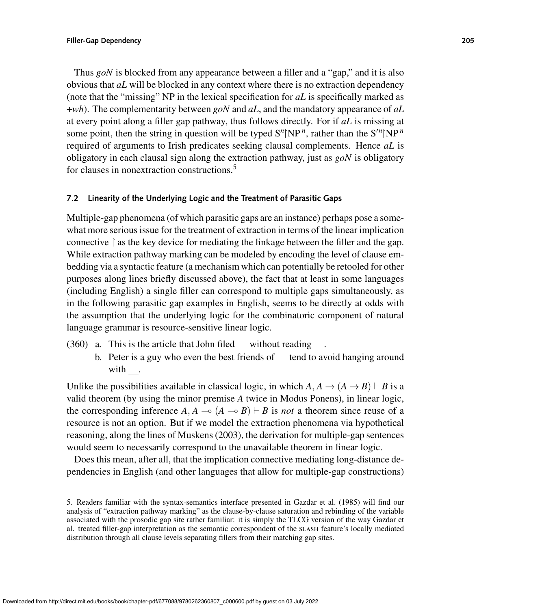Thus *goN* is blocked from any appearance between a filler and a "gap," and it is also obvious that *aL* will be blocked in any context where there is no extraction dependency (note that the "missing" NP in the lexical specification for *aL* is specifically marked as +*wh*). The complementarity between *goN* and *aL*, and the mandatory appearance of *aL* at every point along a filler gap pathway, thus follows directly. For if *aL* is missing at some point, then the string in question will be typed  $S^n|NP^n$ , rather than the  $S'^n|NP^n$ required of arguments to Irish predicates seeking clausal complements. Hence *aL* is obligatory in each clausal sign along the extraction pathway, just as *goN* is obligatory for clauses in nonextraction constructions.<sup>5</sup>

#### **7.2 Linearity of the Underlying Logic and the Treatment of Parasitic Gaps**

Multiple-gap phenomena (of which parasitic gaps are an instance) perhaps pose a somewhat more serious issue for the treatment of extraction in terms of the linear implication connective  $\upharpoonright$  as the key device for mediating the linkage between the filler and the gap. While extraction pathway marking can be modeled by encoding the level of clause embedding via a syntactic feature (a mechanism which can potentially be retooled for other purposes along lines briefly discussed above), the fact that at least in some languages (including English) a single filler can correspond to multiple gaps simultaneously, as in the following parasitic gap examples in English, seems to be directly at odds with the assumption that the underlying logic for the combinatoric component of natural language grammar is resource-sensitive linear logic.

- (360) a. This is the article that John filed without reading .
	- b. Peter is a guy who even the best friends of tend to avoid hanging around with .

Unlike the possibilities available in classical logic, in which  $A, A \rightarrow (A \rightarrow B) \vdash B$  is a valid theorem (by using the minor premise *A* twice in Modus Ponens), in linear logic, the corresponding inference  $A, A \rightarrow (A \rightarrow B) \vdash B$  is *not* a theorem since reuse of a resource is not an option. But if we model the extraction phenomena via hypothetical reasoning, along the lines of Muskens (2003), the derivation for multiple-gap sentences would seem to necessarily correspond to the unavailable theorem in linear logic.

Does this mean, after all, that the implication connective mediating long-distance dependencies in English (and other languages that allow for multiple-gap constructions)

<sup>5.</sup> Readers familiar with the syntax-semantics interface presented in Gazdar et al. (1985) will find our analysis of "extraction pathway marking" as the clause-by-clause saturation and rebinding of the variable associated with the prosodic gap site rather familiar: it is simply the TLCG version of the way Gazdar et al. treated filler-gap interpretation as the semantic correspondent of the slash feature's locally mediated distribution through all clause levels separating fillers from their matching gap sites.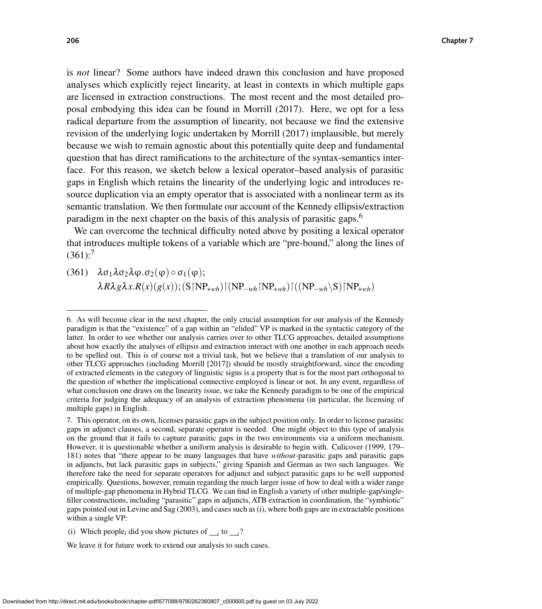is *not* linear? Some authors have indeed drawn this conclusion and have proposed analyses which explicitly reject linearity, at least in contexts in which multiple gaps are licensed in extraction constructions. The most recent and the most detailed proposal embodying this idea can be found in Morrill (2017). Here, we opt for a less radical departure from the assumption of linearity, not because we find the extensive revision of the underlying logic undertaken by Morrill (2017) implausible, but merely because we wish to remain agnostic about this potentially quite deep and fundamental question that has direct ramifications to the architecture of the syntax-semantics interface. For this reason, we sketch below a lexical operator–based analysis of parasitic gaps in English which retains the linearity of the underlying logic and introduces resource duplication via an empty operator that is associated with a nonlinear term as its semantic translation. We then formulate our account of the Kennedy ellipsis/extraction paradigm in the next chapter on the basis of this analysis of parasitic gaps.<sup>6</sup>

We can overcome the technical difficulty noted above by positing a lexical operator that introduces multiple tokens of a variable which are "pre-bound," along the lines of  $(361):$ <sup>7</sup>

(361)  $\lambda \sigma_1 \lambda \sigma_2 \lambda \varphi \cdot \sigma_2(\varphi) \circ \sigma_1(\varphi);$  $\lambda R\lambda g\lambda x.R(x)(g(x));$ (SNP<sub>+wh</sub>)(NP<sub>-wh</sub>|NP<sub>+wh</sub>)((NP<sub>-wh</sub>\S)MP<sub>+wh</sub>)

<sup>6.</sup> As will become clear in the next chapter, the only crucial assumption for our analysis of the Kennedy paradigm is that the "existence" of a gap within an "elided" VP is marked in the syntactic category of the latter. In order to see whether our analysis carries over to other TLCG approaches, detailed assumptions about how exactly the analyses of ellipsis and extraction interact with one another in each approach needs to be spelled out. This is of course not a trivial task, but we believe that a translation of our analysis to other TLCG approaches (including Morrill [2017]) should be mostly straightforward, since the encoding of extracted elements in the category of linguistic signs is a property that is for the most part orthogonal to the question of whether the implicational connective employed is linear or not. In any event, regardless of what conclusion one draws on the linearity issue, we take the Kennedy paradigm to be one of the empirical criteria for judging the adequacy of an analysis of extraction phenomena (in particular, the licensing of multiple gaps) in English.

<sup>7.</sup> This operator, on its own, licenses parasitic gaps in the subject position only. In order to license parasitic gaps in adjunct clauses, a second, separate operator is needed. One might object to this type of analysis on the ground that it fails to capture parasitic gaps in the two environments via a uniform mechanism. However, it is questionable whether a uniform analysis is desirable to begin with. Culicover (1999, 179– 181) notes that "there appear to be many languages that have *without*-parasitic gaps and parasitic gaps in adjuncts, but lack parasitic gaps in subjects," giving Spanish and German as two such languages. We therefore take the need for separate operators for adjunct and subject parasitic gaps to be well supported empirically. Questions, however, remain regarding the much larger issue of how to deal with a wider range of multiple-gap phenomena in Hybrid TLCG. We can find in English a variety of other multiple-gap/singlefiller constructions, including "parasitic" gaps in adjuncts, ATB extraction in coordination, the "symbiotic" gaps pointed out in Levine and Sag (2003), and cases such as (i), where both gaps are in extractable positions within a single VP:

<sup>(</sup>i) Which people<sub>*i*</sub> did you show pictures of  $\mu$  to  $\mu$ <sup>?</sup>

We leave it for future work to extend our analysis to such cases.